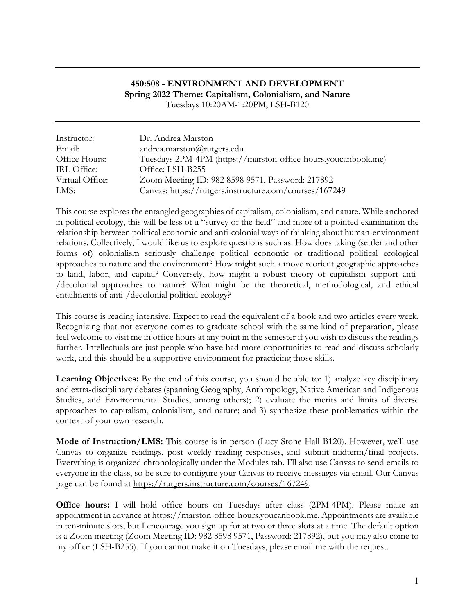## **450:508 - ENVIRONMENT AND DEVELOPMENT Spring 2022 Theme: Capitalism, Colonialism, and Nature** Tuesdays 10:20AM-1:20PM, LSH-B120

| Instructor:     | Dr. Andrea Marston                                            |
|-----------------|---------------------------------------------------------------|
| Email:          | andrea.marston $@rutgers.edu$                                 |
| Office Hours:   | Tuesdays 2PM-4PM (https://marston-office-hours.youcanbook.me) |
| IRL Office:     | Office: LSH-B255                                              |
| Virtual Office: | Zoom Meeting ID: 982 8598 9571, Password: 217892              |
| LMS:            | Canvas: https://rutgers.instructure.com/courses/167249        |

This course explores the entangled geographies of capitalism, colonialism, and nature. While anchored in political ecology, this will be less of a "survey of the field" and more of a pointed examination the relationship between political economic and anti-colonial ways of thinking about human-environment relations. Collectively, I would like us to explore questions such as: How does taking (settler and other forms of) colonialism seriously challenge political economic or traditional political ecological approaches to nature and the environment? How might such a move reorient geographic approaches to land, labor, and capital? Conversely, how might a robust theory of capitalism support anti- /decolonial approaches to nature? What might be the theoretical, methodological, and ethical entailments of anti-/decolonial political ecology?

This course is reading intensive. Expect to read the equivalent of a book and two articles every week. Recognizing that not everyone comes to graduate school with the same kind of preparation, please feel welcome to visit me in office hours at any point in the semester if you wish to discuss the readings further. Intellectuals are just people who have had more opportunities to read and discuss scholarly work, and this should be a supportive environment for practicing those skills.

**Learning Objectives:** By the end of this course, you should be able to: 1) analyze key disciplinary and extra-disciplinary debates (spanning Geography, Anthropology, Native American and Indigenous Studies, and Environmental Studies, among others); 2) evaluate the merits and limits of diverse approaches to capitalism, colonialism, and nature; and 3) synthesize these problematics within the context of your own research.

**Mode of Instruction/LMS:** This course is in person (Lucy Stone Hall B120). However, we'll use Canvas to organize readings, post weekly reading responses, and submit midterm/final projects. Everything is organized chronologically under the Modules tab. I'll also use Canvas to send emails to everyone in the class, so be sure to configure your Canvas to receive messages via email. Our Canvas page can be found at https://rutgers.instructure.com/courses/167249.

**Office hours:** I will hold office hours on Tuesdays after class (2PM-4PM). Please make an appointment in advance at https://marston-office-hours.youcanbook.me. Appointments are available in ten-minute slots, but I encourage you sign up for at two or three slots at a time. The default option is a Zoom meeting (Zoom Meeting ID: 982 8598 9571, Password: 217892), but you may also come to my office (LSH-B255). If you cannot make it on Tuesdays, please email me with the request.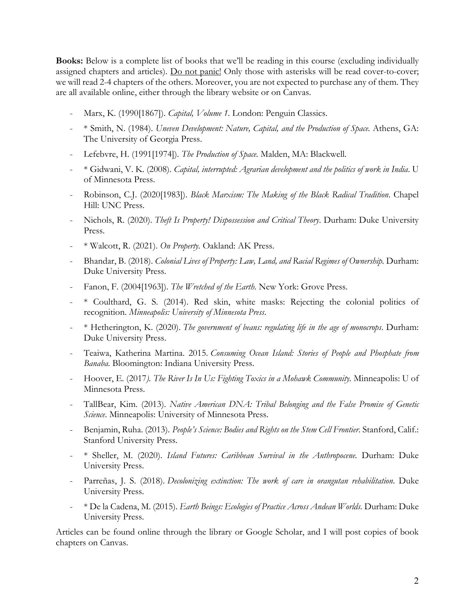**Books:** Below is a complete list of books that we'll be reading in this course (excluding individually assigned chapters and articles). Do not panic! Only those with asterisks will be read cover-to-cover; we will read 2-4 chapters of the others. Moreover, you are not expected to purchase any of them. They are all available online, either through the library website or on Canvas.

- Marx, K. (1990[1867]). *Capital, Volume 1.* London: Penguin Classics.
- \* Smith, N. (1984). *Uneven Development: Nature, Capital, and the Production of Space.* Athens, GA: The University of Georgia Press.
- Lefebvre, H. (1991[1974]). *The Production of Space.* Malden, MA: Blackwell.
- \* Gidwani, V. K. (2008). *Capital, interrupted: Agrarian development and the politics of work in India*. U of Minnesota Press.
- Robinson, C.J. (2020[1983]). *Black Marxism: The Making of the Black Radical Tradition*. Chapel Hill: UNC Press.
- Nichols, R. (2020). *Theft Is Property! Dispossession and Critical Theory*. Durham: Duke University Press.
- \* Walcott, R. (2021). *On Property.* Oakland: AK Press.
- Bhandar, B. (2018). *Colonial Lives of Property: Law, Land, and Racial Regimes of Ownership.* Durham: Duke University Press.
- Fanon, F. (2004[1963]). *The Wretched of the Earth.* New York: Grove Press.
- \* Coulthard, G. S. (2014). Red skin, white masks: Rejecting the colonial politics of recognition. *Minneapolis: University of Minnesota Press*.
- \* Hetherington, K. (2020). *The government of beans: regulating life in the age of monocrops*. Durham: Duke University Press.
- Teaiwa, Katherina Martina. 2015. *Consuming Ocean Island: Stories of People and Phosphate from Banaba*. Bloomington: Indiana University Press.
- Hoover, E. (2017*). The River Is In Us: Fighting Toxics in a Mohawk Community.* Minneapolis: U of Minnesota Press.
- TallBear, Kim. (2013). *Native American DNA: Tribal Belonging and the False Promise of Genetic Science*. Minneapolis: University of Minnesota Press.
- Benjamin, Ruha. (2013). *People's Science: Bodies and Rights on the Stem Cell Frontier*. Stanford, Calif.: Stanford University Press.
- \* Sheller, M. (2020). *Island Futures: Caribbean Survival in the Anthropocene.* Durham: Duke University Press.
- Parreñas, J. S. (2018). *Decolonizing extinction: The work of care in orangutan rehabilitation*. Duke University Press.
- \* De la Cadena, M. (2015). *Earth Beings: Ecologies of Practice Across Andean Worlds.* Durham: Duke University Press.

Articles can be found online through the library or Google Scholar, and I will post copies of book chapters on Canvas.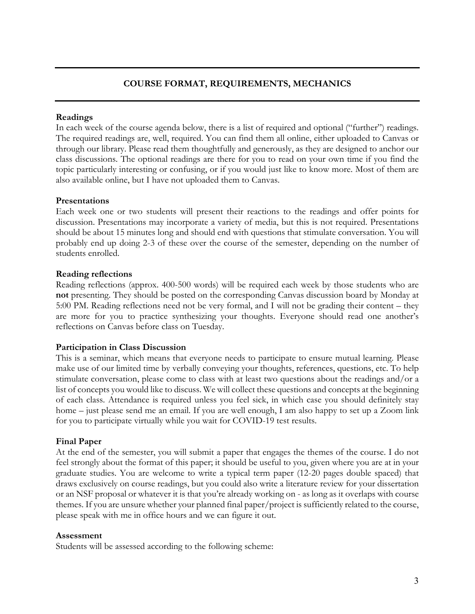## **COURSE FORMAT, REQUIREMENTS, MECHANICS**

#### **Readings**

In each week of the course agenda below, there is a list of required and optional ("further") readings. The required readings are, well, required. You can find them all online, either uploaded to Canvas or through our library. Please read them thoughtfully and generously, as they are designed to anchor our class discussions. The optional readings are there for you to read on your own time if you find the topic particularly interesting or confusing, or if you would just like to know more. Most of them are also available online, but I have not uploaded them to Canvas.

#### **Presentations**

Each week one or two students will present their reactions to the readings and offer points for discussion. Presentations may incorporate a variety of media, but this is not required. Presentations should be about 15 minutes long and should end with questions that stimulate conversation. You will probably end up doing 2-3 of these over the course of the semester, depending on the number of students enrolled.

#### **Reading reflections**

Reading reflections (approx. 400-500 words) will be required each week by those students who are **not** presenting. They should be posted on the corresponding Canvas discussion board by Monday at 5:00 PM. Reading reflections need not be very formal, and I will not be grading their content – they are more for you to practice synthesizing your thoughts. Everyone should read one another's reflections on Canvas before class on Tuesday.

#### **Participation in Class Discussion**

This is a seminar, which means that everyone needs to participate to ensure mutual learning. Please make use of our limited time by verbally conveying your thoughts, references, questions, etc. To help stimulate conversation, please come to class with at least two questions about the readings and/or a list of concepts you would like to discuss. We will collect these questions and concepts at the beginning of each class. Attendance is required unless you feel sick, in which case you should definitely stay home – just please send me an email. If you are well enough, I am also happy to set up a Zoom link for you to participate virtually while you wait for COVID-19 test results.

#### **Final Paper**

At the end of the semester, you will submit a paper that engages the themes of the course. I do not feel strongly about the format of this paper; it should be useful to you, given where you are at in your graduate studies. You are welcome to write a typical term paper (12-20 pages double spaced) that draws exclusively on course readings, but you could also write a literature review for your dissertation or an NSF proposal or whatever it is that you're already working on - as long as it overlaps with course themes. If you are unsure whether your planned final paper/project is sufficiently related to the course, please speak with me in office hours and we can figure it out.

#### **Assessment**

Students will be assessed according to the following scheme: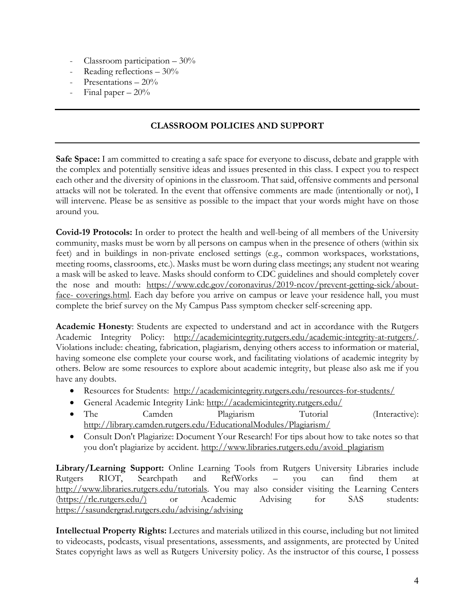- Classroom participation  $-30\%$
- Reading reflections  $-30\%$
- Presentations  $20\%$
- Final paper  $-20%$

# **CLASSROOM POLICIES AND SUPPORT**

**Safe Space:** I am committed to creating a safe space for everyone to discuss, debate and grapple with the complex and potentially sensitive ideas and issues presented in this class. I expect you to respect each other and the diversity of opinions in the classroom. That said, offensive comments and personal attacks will not be tolerated. In the event that offensive comments are made (intentionally or not), I will intervene. Please be as sensitive as possible to the impact that your words might have on those around you.

**Covid-19 Protocols:** In order to protect the health and well-being of all members of the University community, masks must be worn by all persons on campus when in the presence of others (within six feet) and in buildings in non-private enclosed settings (e.g., common workspaces, workstations, meeting rooms, classrooms, etc.). Masks must be worn during class meetings; any student not wearing a mask will be asked to leave. Masks should conform to CDC guidelines and should completely cover the nose and mouth: https://www.cdc.gov/coronavirus/2019-ncov/prevent-getting-sick/aboutface- coverings.html. Each day before you arrive on campus or leave your residence hall, you must complete the brief survey on the My Campus Pass symptom checker self-screening app.

**Academic Honesty**: Students are expected to understand and act in accordance with the Rutgers Academic Integrity Policy: http://academicintegrity.rutgers.edu/academic-integrity-at-rutgers/. Violations include: cheating, fabrication, plagiarism, denying others access to information or material, having someone else complete your course work, and facilitating violations of academic integrity by others. Below are some resources to explore about academic integrity, but please also ask me if you have any doubts.

- Resources for Students: http://academicintegrity.rutgers.edu/resources-for-students/
- General Academic Integrity Link: http://academicintegrity.rutgers.edu/
- The Camden Plagiarism Tutorial (Interactive): http://library.camden.rutgers.edu/EducationalModules/Plagiarism/
- Consult Don't Plagiarize: Document Your Research! For tips about how to take notes so that you don't plagiarize by accident. http://www.libraries.rutgers.edu/avoid\_plagiarism

**Library/Learning Support:** Online Learning Tools from Rutgers University Libraries include Rutgers RIOT, Searchpath and RefWorks – you can find them at http://www.libraries.rutgers.edu/tutorials. You may also consider visiting the Learning Centers (https://rlc.rutgers.edu/) or Academic Advising for SAS students: https://sasundergrad.rutgers.edu/advising/advising

**Intellectual Property Rights:** Lectures and materials utilized in this course, including but not limited to videocasts, podcasts, visual presentations, assessments, and assignments, are protected by United States copyright laws as well as Rutgers University policy. As the instructor of this course, I possess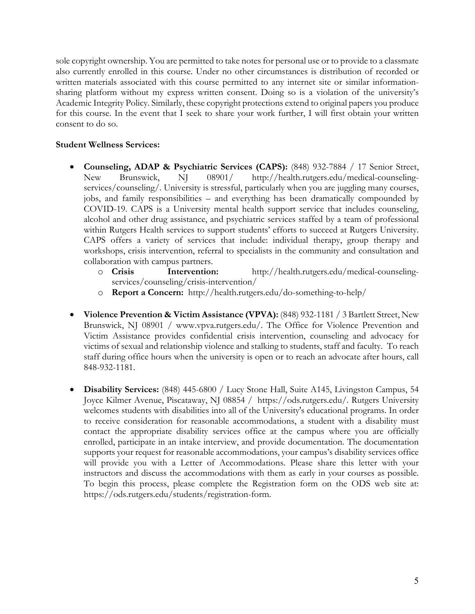sole copyright ownership. You are permitted to take notes for personal use or to provide to a classmate also currently enrolled in this course. Under no other circumstances is distribution of recorded or written materials associated with this course permitted to any internet site or similar informationsharing platform without my express written consent. Doing so is a violation of the university's Academic Integrity Policy. Similarly, these copyright protections extend to original papers you produce for this course. In the event that I seek to share your work further, I will first obtain your written consent to do so.

### **Student Wellness Services:**

- **Counseling, ADAP & Psychiatric Services (CAPS):** (848) 932-7884 / 17 Senior Street, New Brunswick, NJ 08901/ http://health.rutgers.edu/medical-counselingservices/counseling/. University is stressful, particularly when you are juggling many courses, jobs, and family responsibilities – and everything has been dramatically compounded by COVID-19. CAPS is a University mental health support service that includes counseling, alcohol and other drug assistance, and psychiatric services staffed by a team of professional within Rutgers Health services to support students' efforts to succeed at Rutgers University. CAPS offers a variety of services that include: individual therapy, group therapy and workshops, crisis intervention, referral to specialists in the community and consultation and collaboration with campus partners.
	- o **Crisis Intervention:** http://health.rutgers.edu/medical-counselingservices/counseling/crisis-intervention/
	- o **Report a Concern:** http://health.rutgers.edu/do-something-to-help/
- **Violence Prevention & Victim Assistance (VPVA):** (848) 932-1181 / 3 Bartlett Street, New Brunswick, NJ 08901 / www.vpva.rutgers.edu/. The Office for Violence Prevention and Victim Assistance provides confidential crisis intervention, counseling and advocacy for victims of sexual and relationship violence and stalking to students, staff and faculty. To reach staff during office hours when the university is open or to reach an advocate after hours, call 848-932-1181.
- **Disability Services:** (848) 445-6800 / Lucy Stone Hall, Suite A145, Livingston Campus, 54 Joyce Kilmer Avenue, Piscataway, NJ 08854 / https://ods.rutgers.edu/. Rutgers University welcomes students with disabilities into all of the University's educational programs. In order to receive consideration for reasonable accommodations, a student with a disability must contact the appropriate disability services office at the campus where you are officially enrolled, participate in an intake interview, and provide documentation. The documentation supports your request for reasonable accommodations, your campus's disability services office will provide you with a Letter of Accommodations. Please share this letter with your instructors and discuss the accommodations with them as early in your courses as possible. To begin this process, please complete the Registration form on the ODS web site at: https://ods.rutgers.edu/students/registration-form.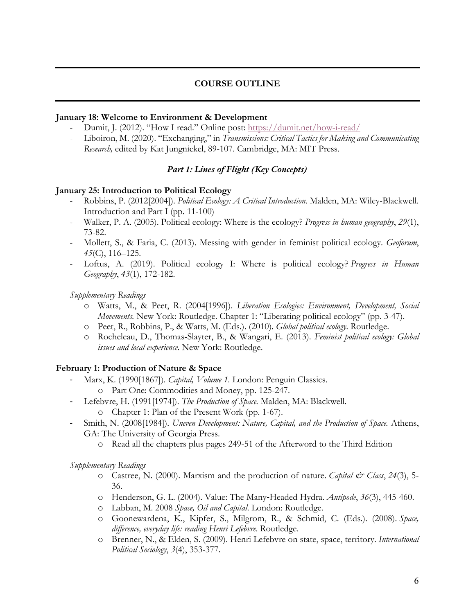## **COURSE OUTLINE**

#### **January 18: Welcome to Environment & Development**

- Dumit, J. (2012). "How I read." Online post: https://dumit.net/how-i-read/
- Liboiron, M. (2020). "Exchanging," in *Transmissions: Critical Tactics for Making and Communicating Research,* edited by Kat Jungnickel, 89-107. Cambridge, MA: MIT Press.

# *Part 1: Lines of Flight (Key Concepts)*

## **January 25: Introduction to Political Ecology**

- Robbins, P. (2012[2004]). *Political Ecology: A Critical Introduction.* Malden, MA: Wiley-Blackwell. Introduction and Part I (pp. 11-100)
- Walker, P. A. (2005). Political ecology: Where is the ecology? *Progress in human geography*, *29*(1), 73-82.
- Mollett, S., & Faria, C. (2013). Messing with gender in feminist political ecology. *Geoforum*, *45*(C), 116–125.
- Loftus, A. (2019). Political ecology I: Where is political ecology? *Progress in Human Geography*, *43*(1), 172-182.

*Supplementary Readings*

- o Watts, M., & Peet, R. (2004[1996]). *Liberation Ecologies: Environment, Development, Social Movements.* New York: Routledge. Chapter 1: "Liberating political ecology" (pp. 3-47).
- o Peet, R., Robbins, P., & Watts, M. (Eds.). (2010). *Global political ecology*. Routledge.
- o Rocheleau, D., Thomas-Slayter, B., & Wangari, E. (2013). *Feminist political ecology: Global issues and local experience*. New York: Routledge.

# **February 1: Production of Nature & Space**

- Marx, K. (1990[1867]). *Capital, Volume 1.* London: Penguin Classics.
	- o Part One: Commodities and Money, pp. 125-247.
- Lefebvre, H. (1991[1974]). *The Production of Space.* Malden, MA: Blackwell.
	- o Chapter 1: Plan of the Present Work (pp. 1-67).
- Smith, N. (2008[1984]). *Uneven Development: Nature, Capital, and the Production of Space.* Athens, GA: The University of Georgia Press.
	- o Read all the chapters plus pages 249-51 of the Afterword to the Third Edition

## *Supplementary Readings*

- o Castree, N. (2000). Marxism and the production of nature. *Capital & Class*, *24*(3), 5- 36.
- o Henderson, G. L. (2004). Value: The Many-Headed Hydra. *Antipode*, *36*(3), 445-460.
- o Labban, M. 2008 *Space, Oil and Capital*. London: Routledge.
- o Goonewardena, K., Kipfer, S., Milgrom, R., & Schmid, C. (Eds.). (2008). *Space, difference, everyday life: reading Henri Lefebvre*. Routledge.
- o Brenner, N., & Elden, S. (2009). Henri Lefebvre on state, space, territory. *International Political Sociology*, *3*(4), 353-377.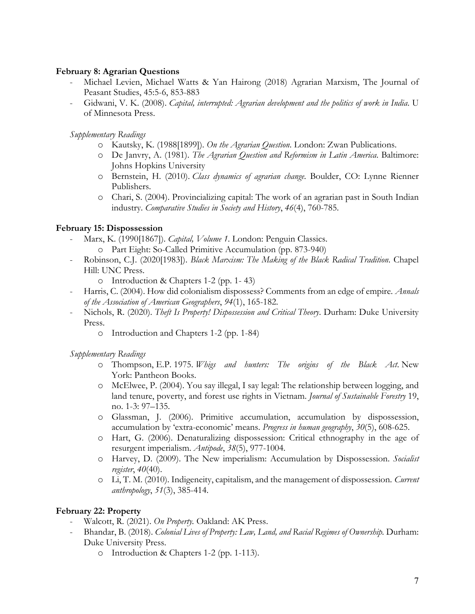### **February 8: Agrarian Questions**

- Michael Levien, Michael Watts & Yan Hairong (2018) Agrarian Marxism, The Journal of Peasant Studies, 45:5-6, 853-883
- Gidwani, V. K. (2008). *Capital, interrupted: Agrarian development and the politics of work in India*. U of Minnesota Press.

## *Supplementary Readings*

- o Kautsky, K. (1988[1899]). *On the Agrarian Question*. London: Zwan Publications.
- o De Janvry, A. (1981). *The Agrarian Question and Reformism in Latin America*. Baltimore: Johns Hopkins University
- o Bernstein, H. (2010). *Class dynamics of agrarian change*. Boulder, CO: Lynne Rienner Publishers.
- o Chari, S. (2004). Provincializing capital: The work of an agrarian past in South Indian industry. *Comparative Studies in Society and History*, *46*(4), 760-785.

## **February 15: Dispossession**

- Marx, K. (1990[1867]). *Capital, Volume 1.* London: Penguin Classics.
	- o Part Eight: So-Called Primitive Accumulation (pp. 873-940)
- Robinson, C.J. (2020[1983]). *Black Marxism: The Making of the Black Radical Tradition*. Chapel Hill: UNC Press.
	- o Introduction & Chapters 1-2 (pp. 1- 43)
- Harris, C. (2004). How did colonialism dispossess? Comments from an edge of empire. *Annals of the Association of American Geographers*, *94*(1), 165-182.
- Nichols, R. (2020). *Theft Is Property! Dispossession and Critical Theory*. Durham: Duke University Press.
	- o Introduction and Chapters 1-2 (pp. 1-84)

## *Supplementary Readings*

- o Thompson, E.P. 1975. *Whigs and hunters: The origins of the Black Act*. New York: Pantheon Books.
- o McElwee, P. (2004). You say illegal, I say legal: The relationship between logging, and land tenure, poverty, and forest use rights in Vietnam. *Journal of Sustainable Forestry* 19, no. 1-3: 97–135.
- o Glassman, J. (2006). Primitive accumulation, accumulation by dispossession, accumulation by 'extra-economic' means. *Progress in human geography*, *30*(5), 608-625.
- o Hart, G. (2006). Denaturalizing dispossession: Critical ethnography in the age of resurgent imperialism. *Antipode*, *38*(5), 977-1004.
- o Harvey, D. (2009). The New imperialism: Accumulation by Dispossession. *Socialist register*, *40*(40).
- o Li, T. M. (2010). Indigeneity, capitalism, and the management of dispossession. *Current anthropology*, *51*(3), 385-414.

## **February 22: Property**

- Walcott, R. (2021). *On Property.* Oakland: AK Press.
- Bhandar, B. (2018). *Colonial Lives of Property: Law, Land, and Racial Regimes of Ownership.* Durham: Duke University Press.
	- o Introduction & Chapters 1-2 (pp. 1-113).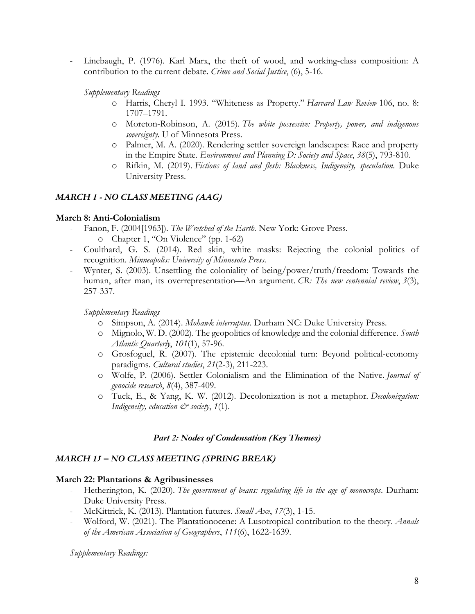Linebaugh, P. (1976). Karl Marx, the theft of wood, and working-class composition: A contribution to the current debate. *Crime and Social Justice*, (6), 5-16.

*Supplementary Readings*

- o Harris, Cheryl I. 1993. "Whiteness as Property." *Harvard Law Review* 106, no. 8: 1707–1791.
- o Moreton-Robinson, A. (2015). *The white possessive: Property, power, and indigenous sovereignty*. U of Minnesota Press.
- o Palmer, M. A. (2020). Rendering settler sovereign landscapes: Race and property in the Empire State. *Environment and Planning D: Society and Space*, *38*(5), 793-810.
- o Rifkin, M. (2019). *Fictions of land and flesh: Blackness, Indigeneity, speculation*. Duke University Press.

## *MARCH 1 - NO CLASS MEETING (AAG)*

#### **March 8: Anti-Colonialism**

- Fanon, F. (2004[1963]). *The Wretched of the Earth.* New York: Grove Press. o Chapter 1, "On Violence" (pp. 1-62)
- Coulthard, G. S. (2014). Red skin, white masks: Rejecting the colonial politics of recognition. *Minneapolis: University of Minnesota Press*.
- Wynter, S. (2003). Unsettling the coloniality of being/power/truth/freedom: Towards the human, after man, its overrepresentation—An argument. *CR: The new centennial review*, *3*(3), 257-337.

*Supplementary Readings*

- o Simpson, A. (2014). *Mohawk interruptus*. Durham NC: Duke University Press.
- o Mignolo, W. D. (2002). The geopolitics of knowledge and the colonial difference. *South Atlantic Quarterly*, *101*(1), 57-96.
- o Grosfoguel, R. (2007). The epistemic decolonial turn: Beyond political-economy paradigms. *Cultural studies*, *21*(2-3), 211-223.
- o Wolfe, P. (2006). Settler Colonialism and the Elimination of the Native. *Journal of genocide research*, *8*(4), 387-409.
- o Tuck, E., & Yang, K. W. (2012). Decolonization is not a metaphor. *Decolonization: Indigeneity, education*  $\mathcal{Q}^*$  *society, 1(1).*

#### *Part 2: Nodes of Condensation (Key Themes)*

#### *MARCH 15 – NO CLASS MEETING (SPRING BREAK)*

#### **March 22: Plantations & Agribusinesses**

- Hetherington, K. (2020). *The government of beans: regulating life in the age of monocrops*. Durham: Duke University Press.
- McKittrick, K. (2013). Plantation futures. *Small Axe*, *17*(3), 1-15.
- Wolford, W. (2021). The Plantationocene: A Lusotropical contribution to the theory. *Annals of the American Association of Geographers*, *111*(6), 1622-1639.

*Supplementary Readings:*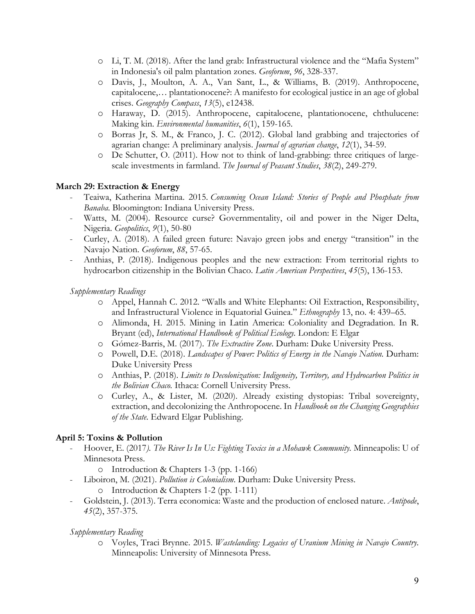- o Li, T. M. (2018). After the land grab: Infrastructural violence and the "Mafia System" in Indonesia's oil palm plantation zones. *Geoforum*, *96*, 328-337.
- o Davis, J., Moulton, A. A., Van Sant, L., & Williams, B. (2019). Anthropocene, capitalocene,… plantationocene?: A manifesto for ecological justice in an age of global crises. *Geography Compass*, *13*(5), e12438.
- o Haraway, D. (2015). Anthropocene, capitalocene, plantationocene, chthulucene: Making kin. *Environmental humanities*, *6*(1), 159-165.
- o Borras Jr, S. M., & Franco, J. C. (2012). Global land grabbing and trajectories of agrarian change: A preliminary analysis. *Journal of agrarian change*, *12*(1), 34-59.
- o De Schutter, O. (2011). How not to think of land-grabbing: three critiques of largescale investments in farmland. *The Journal of Peasant Studies*, *38*(2), 249-279.

## **March 29: Extraction & Energy**

- Teaiwa, Katherina Martina. 2015. *Consuming Ocean Island: Stories of People and Phosphate from Banaba*. Bloomington: Indiana University Press.
- Watts, M. (2004). Resource curse? Governmentality, oil and power in the Niger Delta, Nigeria. *Geopolitics*, *9*(1), 50-80
- Curley, A. (2018). A failed green future: Navajo green jobs and energy "transition" in the Navajo Nation. *Geoforum*, *88*, 57-65.
- Anthias, P. (2018). Indigenous peoples and the new extraction: From territorial rights to hydrocarbon citizenship in the Bolivian Chaco. *Latin American Perspectives*, *45*(5), 136-153.

*Supplementary Readings*

- o Appel, Hannah C. 2012. "Walls and White Elephants: Oil Extraction, Responsibility, and Infrastructural Violence in Equatorial Guinea." *Ethnography* 13, no. 4: 439–65.
- o Alimonda, H. 2015. Mining in Latin America: Coloniality and Degradation. In R. Bryant (ed), *International Handbook of Political Ecology.* London: E Elgar
- o Gómez-Barris, M. (2017). *The Extractive Zone*. Durham: Duke University Press.
- o Powell, D.E. (2018). *Landscapes of Power: Politics of Energy in the Navajo Nation.* Durham: Duke University Press
- o Anthias, P. (2018). *Limits to Decolonization: Indigeneity, Territory, and Hydrocarbon Politics in the Bolivian Chaco.* Ithaca: Cornell University Press.
- o Curley, A., & Lister, M. (2020). Already existing dystopias: Tribal sovereignty, extraction, and decolonizing the Anthropocene. In *Handbook on the Changing Geographies of the State*. Edward Elgar Publishing.

## **April 5: Toxins & Pollution**

- Hoover, E. (2017*). The River Is In Us: Fighting Toxics in a Mohawk Community.* Minneapolis: U of Minnesota Press.
	- o Introduction & Chapters 1-3 (pp. 1-166)
- Liboiron, M. (2021). *Pollution is Colonialism*. Durham: Duke University Press.
	- o Introduction & Chapters 1-2 (pp. 1-111)
- Goldstein, J. (2013). Terra economica: Waste and the production of enclosed nature. *Antipode*, *45*(2), 357-375.

## *Supplementary Reading*

o Voyles, Traci Brynne. 2015. *Wastelanding: Legacies of Uranium Mining in Navajo Country*. Minneapolis: University of Minnesota Press.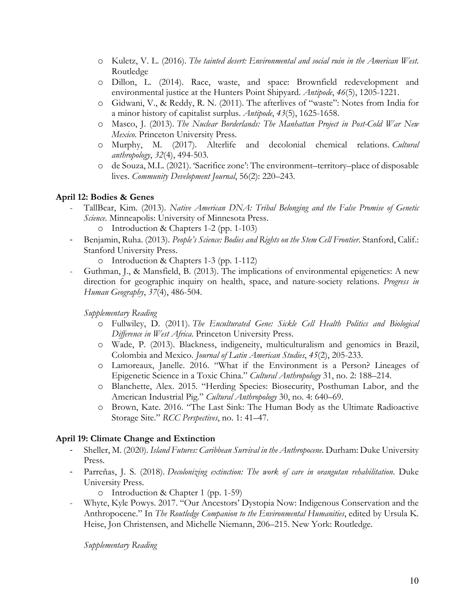- o Kuletz, V. L. (2016). *The tainted desert: Environmental and social ruin in the American West*. Routledge
- o Dillon, L. (2014). Race, waste, and space: Brownfield redevelopment and environmental justice at the Hunters Point Shipyard. *Antipode*, *46*(5), 1205-1221.
- o Gidwani, V., & Reddy, R. N. (2011). The afterlives of "waste": Notes from India for a minor history of capitalist surplus. *Antipode*, *43*(5), 1625-1658.
- o Masco, J. (2013). *The Nuclear Borderlands: The Manhattan Project in Post-Cold War New Mexico*. Princeton University Press.
- o Murphy, M. (2017). Alterlife and decolonial chemical relations. *Cultural anthropology*, *32*(4), 494-503.
- o de Souza, M.L. (2021). 'Sacrifice zone': The environment–territory–place of disposable lives. *Community Development Journal*, 56(2): 220–243.

## **April 12: Bodies & Genes**

- TallBear, Kim. (2013). *Native American DNA: Tribal Belonging and the False Promise of Genetic Science*. Minneapolis: University of Minnesota Press. o Introduction & Chapters 1-2 (pp. 1-103)
- Benjamin, Ruha. (2013). *People's Science: Bodies and Rights on the Stem Cell Frontier*. Stanford, Calif.: Stanford University Press.
	- o Introduction & Chapters 1-3 (pp. 1-112)
- Guthman, J., & Mansfield, B. (2013). The implications of environmental epigenetics: A new direction for geographic inquiry on health, space, and nature-society relations. *Progress in Human Geography*, *37*(4), 486-504.

*Supplementary Reading*

- o Fullwiley, D. (2011). *The Enculturated Gene: Sickle Cell Health Politics and Biological Difference in West Africa*. Princeton University Press.
- o Wade, P. (2013). Blackness, indigeneity, multiculturalism and genomics in Brazil, Colombia and Mexico. *Journal of Latin American Studies*, *45*(2), 205-233.
- o Lamoreaux, Janelle. 2016. "What if the Environment is a Person? Lineages of Epigenetic Science in a Toxic China." *Cultural Anthropology* 31, no. 2: 188–214.
- o Blanchette, Alex. 2015. "Herding Species: Biosecurity, Posthuman Labor, and the American Industrial Pig." *Cultural Anthropology* 30, no. 4: 640–69.
- o Brown, Kate. 2016. "The Last Sink: The Human Body as the Ultimate Radioactive Storage Site." *RCC Perspectives*, no. 1: 41–47.

## **April 19: Climate Change and Extinction**

- Sheller, M. (2020). *Island Futures: Caribbean Survival in the Anthropocene.* Durham: Duke University Press.
- Parreñas, J. S. (2018). *Decolonizing extinction: The work of care in orangutan rehabilitation*. Duke University Press.
	- o Introduction & Chapter 1 (pp. 1-59)
- Whyte, Kyle Powys. 2017. "Our Ancestors' Dystopia Now: Indigenous Conservation and the Anthropocene." In *The Routledge Companion to the Environmental Humanities*, edited by Ursula K. Heise, Jon Christensen, and Michelle Niemann, 206–215. New York: Routledge.

*Supplementary Reading*